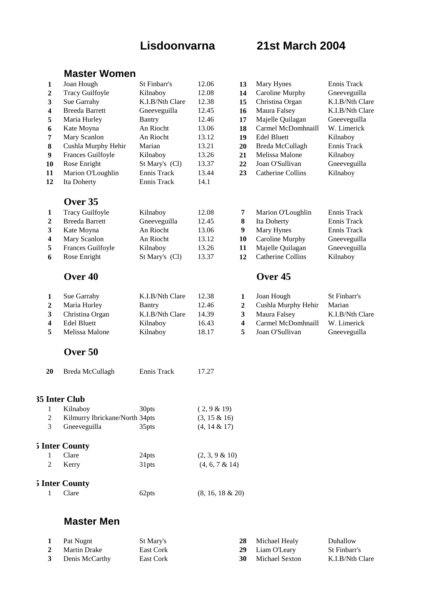# **Lisdoonvarna 21st March 2004**

# **Master Women**

| 1<br>$\mathbf{2}$<br>3<br>4<br>5<br>6<br>7<br>${\bf 8}$<br>9<br>10<br>11<br>12 | Joan Hough<br><b>Tracy Guilfoyle</b><br>Sue Garrahy<br><b>Breeda Barrett</b><br>Maria Hurley<br>Kate Moyna<br>Mary Scanlon<br>Cushla Murphy Hehir<br>Frances Guilfoyle<br>Rose Enright<br>Marion O'Loughlin<br>Ita Doherty | St Finbarr's<br>Kilnaboy<br>K.I.B/Nth Clare<br>Gneeveguilla<br><b>Bantry</b><br>An Riocht<br>An Riocht<br>Marian<br>Kilnaboy<br>St Mary's (Cl)<br>Ennis Track<br>Ennis Track | 12.06<br>12.08<br>12.38<br>12.45<br>12.46<br>13.06<br>13.12<br>13.21<br>13.26<br>13.37<br>13.44<br>14.1 | 13<br>14<br>15<br>16<br>17<br>18<br>19<br>20<br>21<br>22<br>23 | Mary Hynes<br>Caroline Murphy<br>Christina Organ<br>Maura Falsey<br>Majelle Quilagan<br>Carmel McDomhnaill<br><b>Edel Bluett</b><br>Breda McCullagh<br>Melissa Malone<br>Joan O'Sullivan<br><b>Catherine Collins</b> | Ennis Track<br>Gneeveguilla<br>K.I.B/Nth Clare<br>K.I.B/Nth Clare<br>Gneeveguilla<br>W. Limerick<br>Kilnaboy<br>Ennis Track<br>Kilnaboy<br>Gneeveguilla<br>Kilnaboy |
|--------------------------------------------------------------------------------|----------------------------------------------------------------------------------------------------------------------------------------------------------------------------------------------------------------------------|------------------------------------------------------------------------------------------------------------------------------------------------------------------------------|---------------------------------------------------------------------------------------------------------|----------------------------------------------------------------|----------------------------------------------------------------------------------------------------------------------------------------------------------------------------------------------------------------------|---------------------------------------------------------------------------------------------------------------------------------------------------------------------|
|                                                                                | Over 35                                                                                                                                                                                                                    |                                                                                                                                                                              |                                                                                                         |                                                                |                                                                                                                                                                                                                      |                                                                                                                                                                     |
| 1                                                                              | <b>Tracy Guilfoyle</b>                                                                                                                                                                                                     | Kilnaboy                                                                                                                                                                     | 12.08                                                                                                   | 7                                                              | Marion O'Loughlin                                                                                                                                                                                                    | Ennis Track                                                                                                                                                         |
| $\overline{2}$                                                                 | <b>Breeda Barrett</b>                                                                                                                                                                                                      | Gneeveguilla                                                                                                                                                                 | 12.45                                                                                                   | ${\bf 8}$                                                      | Ita Doherty                                                                                                                                                                                                          | Ennis Track                                                                                                                                                         |
| 3                                                                              | Kate Moyna                                                                                                                                                                                                                 | An Riocht                                                                                                                                                                    | 13.06                                                                                                   | $\boldsymbol{9}$                                               | Mary Hynes                                                                                                                                                                                                           | Ennis Track                                                                                                                                                         |
| 4                                                                              | Mary Scanlon                                                                                                                                                                                                               | An Riocht                                                                                                                                                                    | 13.12                                                                                                   | 10                                                             | Caroline Murphy                                                                                                                                                                                                      | Gneeveguilla                                                                                                                                                        |
| 5                                                                              | Frances Guilfoyle                                                                                                                                                                                                          | Kilnaboy                                                                                                                                                                     | 13.26                                                                                                   | 11                                                             | Majelle Quilagan                                                                                                                                                                                                     | Gneeveguilla                                                                                                                                                        |
| 6                                                                              | Rose Enright                                                                                                                                                                                                               | St Mary's (Cl)                                                                                                                                                               | 13.37                                                                                                   | 12                                                             | <b>Catherine Collins</b>                                                                                                                                                                                             | Kilnaboy                                                                                                                                                            |
|                                                                                | Over <sub>40</sub>                                                                                                                                                                                                         |                                                                                                                                                                              |                                                                                                         |                                                                | Over <sub>45</sub>                                                                                                                                                                                                   |                                                                                                                                                                     |
| $\mathbf{1}$                                                                   | Sue Garrahy                                                                                                                                                                                                                | K.I.B/Nth Clare                                                                                                                                                              | 12.38                                                                                                   | $\mathbf{1}$                                                   | Joan Hough                                                                                                                                                                                                           | St Finbarr's                                                                                                                                                        |
| $\boldsymbol{2}$                                                               | Maria Hurley                                                                                                                                                                                                               | <b>Bantry</b>                                                                                                                                                                | 12.46                                                                                                   | $\boldsymbol{2}$                                               | Cushla Murphy Hehir                                                                                                                                                                                                  | Marian                                                                                                                                                              |
| 3                                                                              | Christina Organ                                                                                                                                                                                                            | K.I.B/Nth Clare                                                                                                                                                              | 14.39                                                                                                   | $\mathbf{3}$                                                   | Maura Falsey                                                                                                                                                                                                         | K.I.B/Nth Clare                                                                                                                                                     |
| $\overline{\mathbf{4}}$                                                        | <b>Edel Bluett</b>                                                                                                                                                                                                         | Kilnaboy                                                                                                                                                                     | 16.43                                                                                                   | $\overline{\mathbf{4}}$                                        | Carmel McDomhnaill                                                                                                                                                                                                   | W. Limerick                                                                                                                                                         |
| 5                                                                              | Melissa Malone                                                                                                                                                                                                             | Kilnaboy                                                                                                                                                                     | 18.17                                                                                                   | 5                                                              | Joan O'Sullivan                                                                                                                                                                                                      | Gneeveguilla                                                                                                                                                        |
|                                                                                | Over 50                                                                                                                                                                                                                    |                                                                                                                                                                              |                                                                                                         |                                                                |                                                                                                                                                                                                                      |                                                                                                                                                                     |
| <b>20</b>                                                                      | Breda McCullagh                                                                                                                                                                                                            | Ennis Track                                                                                                                                                                  | 17.27                                                                                                   |                                                                |                                                                                                                                                                                                                      |                                                                                                                                                                     |
| 35 Inter Club                                                                  |                                                                                                                                                                                                                            |                                                                                                                                                                              |                                                                                                         |                                                                |                                                                                                                                                                                                                      |                                                                                                                                                                     |
| 1                                                                              | Kilnaboy                                                                                                                                                                                                                   | 30pts                                                                                                                                                                        | (2, 9 & 19)                                                                                             |                                                                |                                                                                                                                                                                                                      |                                                                                                                                                                     |
| $\overline{c}$                                                                 | Kilmurry Ibrickane/North 34pts                                                                                                                                                                                             |                                                                                                                                                                              | $(3, 15 \& 16)$                                                                                         |                                                                |                                                                                                                                                                                                                      |                                                                                                                                                                     |
| 3                                                                              | Gneeveguilla                                                                                                                                                                                                               | 35pts                                                                                                                                                                        | $(4, 14 \& 17)$                                                                                         |                                                                |                                                                                                                                                                                                                      |                                                                                                                                                                     |
|                                                                                | 5 Inter County                                                                                                                                                                                                             |                                                                                                                                                                              |                                                                                                         |                                                                |                                                                                                                                                                                                                      |                                                                                                                                                                     |
| 1                                                                              | Clare                                                                                                                                                                                                                      | 24pts                                                                                                                                                                        | $(2, 3, 9 \& 10)$                                                                                       |                                                                |                                                                                                                                                                                                                      |                                                                                                                                                                     |
| 2                                                                              | Kerry                                                                                                                                                                                                                      | 31pts                                                                                                                                                                        | $(4, 6, 7 \& 14)$                                                                                       |                                                                |                                                                                                                                                                                                                      |                                                                                                                                                                     |
|                                                                                | 5 Inter County                                                                                                                                                                                                             |                                                                                                                                                                              |                                                                                                         |                                                                |                                                                                                                                                                                                                      |                                                                                                                                                                     |
| $\mathbf{1}$                                                                   | Clare                                                                                                                                                                                                                      | 62pts                                                                                                                                                                        | $(8, 16, 18 \& 20)$                                                                                     |                                                                |                                                                                                                                                                                                                      |                                                                                                                                                                     |
|                                                                                | Mactor Man                                                                                                                                                                                                                 |                                                                                                                                                                              |                                                                                                         |                                                                |                                                                                                                                                                                                                      |                                                                                                                                                                     |

# **Master Men**

|   | Pat Nugnt        | St Mary's | <b>28</b> Michael Healy  | Duhallow        |
|---|------------------|-----------|--------------------------|-----------------|
| 2 | Martin Drake     | East Cork | 29 Liam O'Leary          | St Finbarr's    |
|   | 3 Denis McCarthy | East Cork | <b>30</b> Michael Sexton | K.I.B/Nth Clare |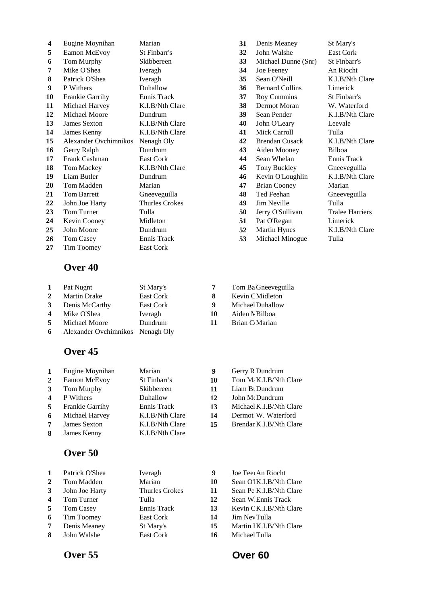| 4  | Eugine Moynihan        | Marian                | 31 | Denis Meaney           | St Mary's         |
|----|------------------------|-----------------------|----|------------------------|-------------------|
| 5  | Eamon McEvoy           | St Finbarr's          | 32 | John Walshe            | <b>East Cork</b>  |
| 6  | Tom Murphy             | Skibbereen            | 33 | Michael Dunne (Snr)    | <b>St Finbarr</b> |
| 7  | Mike O'Shea            | Iveragh               | 34 | Joe Feeney             | An Riocht         |
| 8  | Patrick O'Shea         | Iveragh               | 35 | Sean O'Neill           | K.I.B/Nth         |
| 9  | P Withers              | Duhallow              | 36 | <b>Bernard Collins</b> | Limerick          |
| 10 | <b>Frankie Garrihy</b> | Ennis Track           | 37 | Roy Cummins            | <b>St Finbarr</b> |
| 11 | Michael Harvey         | K.I.B/Nth Clare       | 38 | Dermot Moran           | W. Waterl         |
| 12 | Michael Moore          | Dundrum               | 39 | Sean Pender            | K.I.B/Nth         |
| 13 | <b>James Sexton</b>    | K.I.B/Nth Clare       | 40 | John O'Leary           | Leevale           |
| 14 | James Kenny            | K.I.B/Nth Clare       | 41 | Mick Carroll           | Tulla             |
| 15 | Alexander Ovchimnikos  | Nenagh Oly            | 42 | <b>Brendan Cusack</b>  | K.I.B/Nth         |
| 16 | Gerry Ralph            | Dundrum               | 43 | Aiden Mooney           | Bilboa            |
| 17 | Frank Cashman          | East Cork             | 44 | Sean Whelan            | Ennis Tra         |
| 18 | Tom Mackey             | K.I.B/Nth Clare       | 45 | Tony Buckley           | Gneevegu          |
| 19 | Liam Butler            | Dundrum               | 46 | Kevin O'Loughlin       | K.I.B/Nth         |
| 20 | Tom Madden             | Marian                | 47 | <b>Brian Cooney</b>    | Marian            |
| 21 | Tom Barrett            | Gneeveguilla          | 48 | Ted Feehan             | Gneevegu          |
| 22 | John Joe Harty         | <b>Thurles Crokes</b> | 49 | Jim Neville            | Tulla             |
| 23 | Tom Turner             | Tulla                 | 50 | Jerry O'Sullivan       | Tralee Ha         |
| 24 | Kevin Cooney           | Midleton              | 51 | Pat O'Regan            | Limerick          |
| 25 | John Moore             | Dundrum               | 52 | <b>Martin Hynes</b>    | K.I.B/Nth         |
| 26 | Tom Casey              | Ennis Track           | 53 | Michael Minogue        | Tulla             |
| 27 | Tim Toomey             | East Cork             |    |                        |                   |

## **Over 40**

| $\mathbf{1}$            | Pat Nugnt                        | St Mary's |
|-------------------------|----------------------------------|-----------|
| $2^{\circ}$             | <b>Martin Drake</b>              | East Cork |
| 3                       | Denis McCarthy                   | East Cork |
| $\overline{\mathbf{4}}$ | Mike O'Shea                      | Iveragh   |
| 5                       | Michael Moore                    | Dundrum   |
| 6                       | Alexander Ovchimnikos Nenagh Oly |           |
|                         |                                  |           |

# **Over 45**

| 1                       | Eugine Moynihan | Marian          | 9  | Gerry R Dundrum             |
|-------------------------|-----------------|-----------------|----|-----------------------------|
| $\mathbf{2}$            | Eamon McEvoy    | St Finbarr's    | 10 | Tom M: K.I.B/Nth            |
| 3                       | Tom Murphy      | Skibbereen      | 11 | Liam B <sub>1</sub> Dundrum |
| $\overline{\mathbf{4}}$ | P Withers       | Duhallow        | 12 | John McDundrum              |
| 5                       | Frankie Garrihy | Ennis Track     | 13 | Michael K.I.B/Nth           |
| 6                       | Michael Harvey  | K.I.B/Nth Clare | 14 | Dermot W. Water             |
| 7                       | James Sexton    | K.I.B/Nth Clare | 15 | Brendar K.I.B/Nth           |
| 8                       | James Kenny     | K.I.B/Nth Clare |    |                             |
|                         |                 |                 |    |                             |

# **Over 50**

|                         | Patrick O'Shea | Iveragh        | 9  | Joe Feel An Riocht       |
|-------------------------|----------------|----------------|----|--------------------------|
| $\mathbf{2}$            | Tom Madden     | Marian         | 10 | Sean O' K.I.B/Nth Clare  |
| 3                       | John Joe Harty | Thurles Crokes | 11 | Sean Pe K.I.B/Nth Clare  |
| $\overline{\mathbf{4}}$ | Tom Turner     | Tulla          | 12 | Sean W Ennis Track       |
| -5                      | Tom Casey      | Ennis Track    | 13 | Kevin C K.I.B/Nth Clare  |
| 6                       | Tim Toomey     | East Cork      | 14 | Jim Nev Tulla            |
| 7                       | Denis Meaney   | St Mary's      | 15 | Martin 1 K.I.B/Nth Clare |
| 8                       | John Walshe    | East Cork      | 16 | Michael Tulla            |

# **23** Jerry O'Sullivan Tralee Harriers Pat O'Regan Limerick Martin Hynes K.I.B/Nth Clare **26** Michael Minogue Tulla Brian C Marian

- $John M(Dundrum)$
- **Michael K.I.B/Nth Clare**
- **Dermot W. Waterford**
- **Brendar K.I.B/Nth Clare**
- Denis Meaney St Mary's 33 Michael Dunne (Snr) St Finbarr's **82 Sean O'Neill K.I.B/Nth Clare**  Bernard Collins Limerick **100 Frankie Garris Ennis St Finbarr's** St Finbarr's **11** Michael Moran W. Waterford **120 Sean Pender K.I.B/Nth Clare**  John O'Leary Leevale Mick Carroll Tulla **12** Brendan Cusack K.I.B/Nth Clare<br> **13** Aiden Mooney Bilboa Sean Whelan Ennis Track Tony Buckley Gneeveguilla Kevin O'Loughlin K.I.B/Nth Clare Brian Cooney Marian Ted Feehan Gneeveguilla
- **1 7** Tom Ba Gneeveguilla
- Martin Drake East Cork **8** Kevin Cooney Midleton
- Michael Duhallow
- 10 Aiden **N** Bilboa
	-
	-
	- Tom M<sub>i</sub> K.I.B/Nth Clare
- Liam B<sub>l</sub> Dundrum
- 
- 
-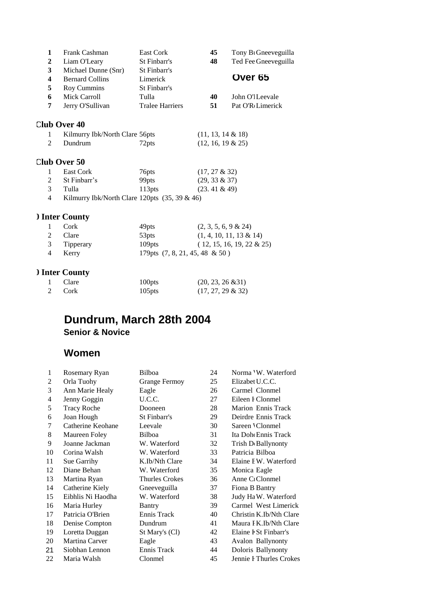| 1            | Frank Cashman                                    | East Cork              | 45                      | Tony B <sub>1</sub> Gneeveguilla |
|--------------|--------------------------------------------------|------------------------|-------------------------|----------------------------------|
| $\mathbf{2}$ | Liam O'Leary                                     | St Finbarr's           | 48                      | Ted Fee Gneeveguilla             |
| 3            | Michael Dunne (Snr)                              | St Finbarr's           |                         |                                  |
| 4            | <b>Bernard Collins</b>                           | Limerick               |                         | Over 65                          |
| 5            | Roy Cummins                                      | St Finbarr's           |                         |                                  |
| 6            | Mick Carroll                                     | Tulla                  | 40                      | John O'l Leevale                 |
| 7            | Jerry O'Sullivan                                 | <b>Tralee Harriers</b> | 51                      | Pat O'R <sub>Limerick</sub>      |
|              | <b>Club Over 40</b>                              |                        |                         |                                  |
| 1            | Kilmurry Ibk/North Clare 56pts                   |                        | $(11, 13, 14 \& 18)$    |                                  |
| 2            | Dundrum                                          | 72pts                  | $(12, 16, 19 \& 25)$    |                                  |
|              | Club Over 50                                     |                        |                         |                                  |
| 1            | East Cork                                        | 76pts                  | $(17, 27 \& 32)$        |                                  |
| 2            | St Finbarr's                                     | 99pts                  | $(29, 33 \& 37)$        |                                  |
| 3            | Tulla                                            | 113 <sub>pts</sub>     | $(23.41 \& 49)$         |                                  |
| 4            | Kilmurry Ibk/North Clare 120pts $(35, 39 \& 46)$ |                        |                         |                                  |
|              | ) Inter County                                   |                        |                         |                                  |
| 1            | Cork                                             | 49pts                  | $(2, 3, 5, 6, 9 \& 24)$ |                                  |
| 2            | Clare                                            | 53pts                  |                         | $(1, 4, 10, 11, 13 \& 14)$       |

| 2 Clare     | 53 <sub>pts</sub> | $(1, 4, 10, 11, 13 \& 14)$         |
|-------------|-------------------|------------------------------------|
| 3 Tipperary | $109$ pts         | $(12, 15, 16, 19, 22 \& 25)$       |
| 4 Kerry     |                   | 179 pts $(7, 8, 21, 45, 48 \& 50)$ |

# **Ounty**

| 1 Clare | 100 <sub>pts</sub> | $(20, 23, 26 \& 31)$ |
|---------|--------------------|----------------------|
| 2 Cork  | $105$ pts          | $(17, 27, 29 \& 32)$ |

# **Dundrum, March 28th 2004 Senior & Novice**

# **Women**

| 1  | Rosemary Ryan      | Bilboa                | 24 | Norma 'W. Waterford             |
|----|--------------------|-----------------------|----|---------------------------------|
| 2  | Orla Tuohy         | <b>Grange Fermoy</b>  | 25 | Elizabet U.C.C.                 |
| 3  | Ann Marie Healy    | Eagle                 | 26 | Carmel Clonmel                  |
| 4  | Jenny Goggin       | U.C.C.                | 27 | Eileen I Clonmel                |
| 5  | <b>Tracy Roche</b> | Dooneen               | 28 | Marion Ennis Track              |
| 6  | Joan Hough         | St Finbarr's          | 29 | Deirdre Ennis Track             |
| 7  | Catherine Keohane  | Leevale               | 30 | Sareen 'Clonmel                 |
| 8  | Maureen Foley      | Bilboa                | 31 | Ita Dohe Ennis Track            |
| 9  | Joanne Jackman     | W. Waterford          | 32 | Trish D <sub>'</sub> Ballynonty |
| 10 | Corina Walsh       | W. Waterford          | 33 | Patricia Bilboa                 |
| 11 | Sue Garrihy        | K.Ib/Nth Clare        | 34 | Elaine I W. Waterford           |
| 12 | Diane Behan        | W. Waterford          | 35 | Monica Eagle                    |
| 13 | Martina Ryan       | <b>Thurles Crokes</b> | 36 | Anne C <sub>1</sub> Clonmel     |
| 14 | Catherine Kiely    | Gneeveguilla          | 37 | Fiona B Bantry                  |
| 15 | Eibhlis Ni Haodha  | W. Waterford          | 38 | Judy Ha W. Waterford            |
| 16 | Maria Hurley       | Bantry                | 39 | Carmel West Limerick            |
| 17 | Patricia O'Brien   | Ennis Track           | 40 | Christin K.Ib/Nth Clare         |
| 18 | Denise Compton     | Dundrum               | 41 | Maura I K.Ib/Nth Clare          |
| 19 | Loretta Duggan     | St Mary's (Cl)        | 42 | Elaine F St Finbarr's           |
| 20 | Martina Carver     | Eagle                 | 43 | Avalon Ballynonty               |
| 21 | Siobhan Lennon     | Ennis Track           | 44 | Doloris Ballynonty              |
| 22 | Maria Walsh        | Clonmel               | 45 | Jennie I Thurles Crokes         |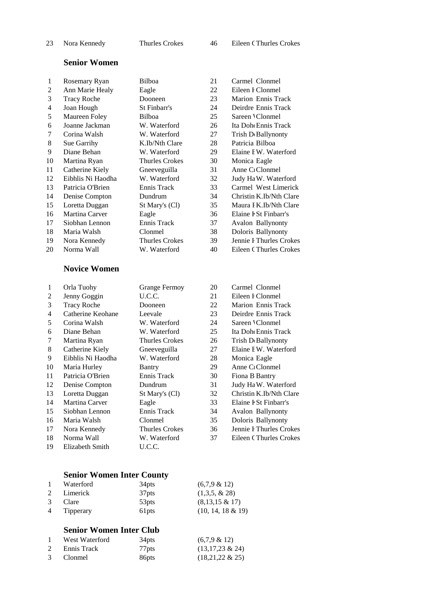| 23                      | Nora Kennedy        | <b>Thurles Crokes</b> | 46 | <b>Eileen CThurles Crokes</b>   |
|-------------------------|---------------------|-----------------------|----|---------------------------------|
|                         | <b>Senior Women</b> |                       |    |                                 |
| 1                       | Rosemary Ryan       | Bilboa                | 21 | Carmel Clonmel                  |
| $\overline{c}$          | Ann Marie Healy     | Eagle                 | 22 | Eileen I Clonmel                |
| 3                       | <b>Tracy Roche</b>  | Dooneen               | 23 | <b>Marion Ennis Track</b>       |
| $\overline{\mathbf{4}}$ | Joan Hough          | St Finbarr's          | 24 | Deirdre Ennis Track             |
| 5                       | Maureen Foley       | Bilboa                | 25 | Sareen 'Clonmel                 |
| 6                       | Joanne Jackman      | W. Waterford          | 26 | Ita Doh Ennis Track             |
| 7                       | Corina Walsh        | W. Waterford          | 27 | Trish D Ballynonty              |
| 8                       | Sue Garrihy         | K.Ib/Nth Clare        | 28 | Patricia Bilboa                 |
| 9                       | Diane Behan         | W. Waterford          | 29 | Elaine I W. Waterford           |
| 10                      | Martina Ryan        | <b>Thurles Crokes</b> | 30 | Monica Eagle                    |
| 11                      | Catherine Kiely     | Gneeveguilla          | 31 | Anne C <sub>1</sub> Clonmel     |
| 12                      | Eibhlis Ni Haodha   | W. Waterford          | 32 | Judy Ha W. Waterford            |
| 13                      | Patricia O'Brien    | Ennis Track           | 33 | Carmel West Limerick            |
| 14                      | Denise Compton      | Dundrum               | 34 | Christin K.Ib/Nth Clare         |
| 15                      | Loretta Duggan      | St Mary's (Cl)        | 35 | Maura I K.Ib/Nth Clare          |
| 16                      | Martina Carver      | Eagle                 | 36 | Elaine I St Finbarr's           |
| 17                      | Siobhan Lennon      | Ennis Track           | 37 | <b>Avalon Ballynonty</b>        |
| 18                      | Maria Walsh         | Clonmel               | 38 | Doloris Ballynonty              |
| 19                      | Nora Kennedy        | <b>Thurles Crokes</b> | 39 | Jennie I Thurles Crokes         |
| 20                      | Norma Wall          | W. Waterford          | 40 | <b>Eileen CThurles Crokes</b>   |
|                         | <b>Novice Women</b> |                       |    |                                 |
| 1                       | Orla Tuohy          | <b>Grange Fermoy</b>  | 20 | Carmel Clonmel                  |
| $\overline{c}$          | Jenny Goggin        | U.C.C.                | 21 | Eileen I Clonmel                |
| 3                       | <b>Tracy Roche</b>  | Dooneen               | 22 | Marion Ennis Track              |
| $\overline{4}$          | Catherine Keohane   | Leevale               | 23 | Deirdre Ennis Track             |
| 5                       | Corina Walsh        | W. Waterford          | 24 | Sareen 'Clonmel                 |
| 6                       | Diane Behan         | W. Waterford          | 25 | Ita Doh Ennis Track             |
| 7                       | Martina Ryan        | <b>Thurles Crokes</b> | 26 | Trish D <sub>'</sub> Ballynonty |
| 8                       | Catherine Kiely     | Gneeveguilla          | 27 | Elaine I W. Waterford           |
| 9                       | Eibhlis Ni Haodha   | W. Waterford          | 28 | Monica Eagle                    |
| 10                      | Maria Hurley        | <b>Bantry</b>         | 29 | Anne C <sub>1</sub> Clonmel     |
| 11                      | Patricia O'Brien    | Ennis Track           | 30 | Fiona B Bantry                  |
| 12                      | Denise Compton      | Dundrum               | 31 | Judy Ha W. Waterford            |
| 13                      | Loretta Duggan      | St Mary's (Cl)        | 32 | Christin K.Ib/Nth Clare         |
| 14                      | Martina Carver      | Eagle                 | 33 | Elaine F St Finbarr's           |
| 15                      | Siobhan Lennon      | Ennis Track           | 34 | <b>Avalon Ballynonty</b>        |
| 16                      | Maria Walsh         | Clonmel               | 35 | Doloris Ballynonty              |
| 17                      | Nora Kennedy        | <b>Thurles Crokes</b> | 36 | Jennie I Thurles Crokes         |
| 18                      | Norma Wall          | W. Waterford          | 37 | <b>Eileen CThurles Crokes</b>   |

Elizabeth Smith U.C.C.

|              | <b>Senior Women Inter County</b> |                   |                      |  |
|--------------|----------------------------------|-------------------|----------------------|--|
| $\mathbf{1}$ | Waterford                        | 34 <sub>pts</sub> | $(6,7,9 \& 12)$      |  |
| 2            | Limerick                         | 37 <sub>pts</sub> | $(1,3,5, \& 28)$     |  |
| 3            | Clare                            | 53pts             | $(8,13,15 \& 17)$    |  |
| $4 \quad$    | Tipperary                        | 61pts             | $(10, 14, 18 \& 19)$ |  |

# **Senior Women Inter Club**

| West Waterford | 34 <sub>pts</sub> | $(6,7,9 \& 12)$    |
|----------------|-------------------|--------------------|
| Ennis Track    | 77 <sub>pts</sub> | $(13,17,23 \& 24)$ |
| 3 Clonmel      | 86 <sub>pts</sub> | $(18,21,22 \& 25)$ |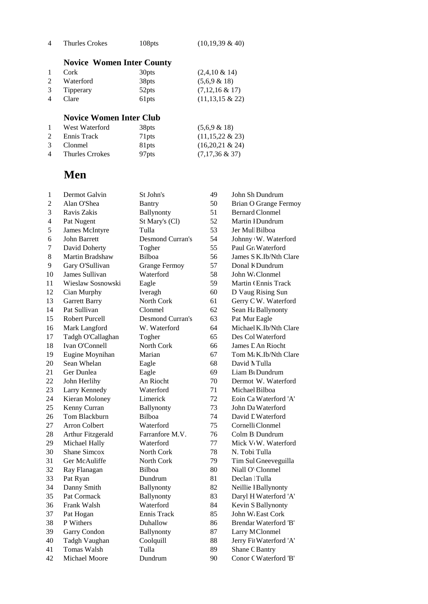| Thurles Crokes | 108pts | $(10,19,39 \& 40)$ |
|----------------|--------|--------------------|
|                |        |                    |

# **Novice Women Inter County**

|                | Cork        | 30 <sub>pts</sub> | $(2,4,10 \& 14)$   |
|----------------|-------------|-------------------|--------------------|
| $\overline{2}$ | Waterford   | 38 <sub>pts</sub> | $(5,6,9 \& 18)$    |
|                | 3 Tipperary | 52 <sub>pts</sub> | $(7,12,16 \& 17)$  |
| 4              | Clare       | 61 <sub>pts</sub> | $(11,13,15 \& 22)$ |

# **Novice Women Inter Club**

|   | West Waterford    | 38 <sub>pts</sub> | $(5,6,9 \& 18)$    |
|---|-------------------|-------------------|--------------------|
| 2 | Ennis Track       | 71 <sub>pts</sub> | $(11,15,22 \& 23)$ |
| 3 | Clonmel           | 81 <sub>pts</sub> | $(16,20,21 \& 24)$ |
|   | 4 Thurles Crrokes | 97 <sub>pts</sub> | $(7,17,36 \& 37)$  |

# **Men**

| $\mathbf{1}$   | Dermot Galvin         | St John's               | 49 | John Sh Dundrum                 |
|----------------|-----------------------|-------------------------|----|---------------------------------|
| $\overline{c}$ | Alan O'Shea           | Bantry                  | 50 | <b>Brian O Grange Fermoy</b>    |
| 3              | Ravis Zakis           | Ballynonty              | 51 | <b>Bernard Clonmel</b>          |
| 4              | Pat Nugent            | St Mary's (Cl)          | 52 | Martin 1 Dundrum                |
| 5              | <b>James McIntyre</b> | Tulla                   | 53 | Jer Mul Bilboa                  |
| 6              | John Barrett          | <b>Desmond Curran's</b> | 54 | Johnny W. Waterford             |
| 7              | David Doherty         | Togher                  | 55 | Paul Gr. Waterford              |
| 8              | Martin Bradshaw       | Bilboa                  | 56 | James S K.Ib/Nth Clare          |
| 9              | Gary O'Sullivan       | <b>Grange Fermoy</b>    | 57 | Donal K Dundrum                 |
| 10             | James Sullivan        | Waterford               | 58 | John W: Clonmel                 |
| 11             | Wieslaw Sosnowski     | Eagle                   | 59 | Martin CEnnis Track             |
| 12             | Cian Murphy           | Iveragh                 | 60 | D Vaug Rising Sun               |
| 13             | <b>Garrett Barry</b>  | North Cork              | 61 | Gerry C W. Waterford            |
| 14             | Pat Sullivan          | Clonmel                 | 62 | Sean Ha Ballynonty              |
| 15             | <b>Robert Purcell</b> | <b>Desmond Curran's</b> | 63 | Pat Mur Eagle                   |
| 16             | Mark Langford         | W. Waterford            | 64 | Michael K.Ib/Nth Clare          |
| 17             | Tadgh O'Callaghan     | Togher                  | 65 | Des Col Waterford               |
| 18             | Ivan O'Connell        | North Cork              | 66 | James L An Riocht               |
| 19             | Eugine Moynihan       | Marian                  | 67 | Tom M: K.Ib/Nth Clare           |
| 20             | Sean Whelan           | Eagle                   | 68 | David N Tulla                   |
| 21             | Ger Dunlea            | Eagle                   | 69 | Liam B <sub>l</sub> Dundrum     |
| 22             | John Herlihy          | An Riocht               | 70 | Dermot W. Waterford             |
| 23             | Larry Kennedy         | Waterford               | 71 | Michael Bilboa                  |
| 24             | Kieran Moloney        | Limerick                | 72 | Eoin Ca Waterford 'A'           |
| 25             | Kenny Curran          | Ballynonty              | 73 | John Da Waterford               |
| 26             | Tom Blackburn         | Bilboa                  | 74 | David L Waterford               |
| 27             | <b>Arron Colbert</b>  | Waterford               | 75 | Cornelli Clonmel                |
| 28             | Arthur Fitzgerald     | Farranfore M.V.         | 76 | Colm B: Dundrum                 |
| 29             | Michael Hally         | Waterford               | 77 | Mick V <sub>W</sub> . Waterford |
| 30             | <b>Shane Simcox</b>   | North Cork              | 78 | N. Tobi Tulla                   |
| 31             | Ger McAuliffe         | North Cork              | 79 | Tim Sul Gneeveguilla            |
| 32             | Ray Flanagan          | Bilboa                  | 80 | Niall O' Clonmel                |
| 33             | Pat Ryan              | Dundrum                 | 81 | Declan Tulla                    |
| 34             | Danny Smith           | Ballynonty              | 82 | Neillie I Ballynonty            |
| 35             | Pat Cormack           | Ballynonty              | 83 | Daryl H Waterford 'A'           |
| 36             | Frank Walsh           | Waterford               | 84 | Kevin S Ballynonty              |
| 37             | Pat Hogan             | Ennis Track             | 85 | John W. East Cork               |
| 38             | P Withers             | Duhallow                | 86 | Brendar Waterford 'B'           |
| 39             | Garry Condon          | Ballynonty              | 87 | Larry M Clonmel                 |
| 40             | Tadgh Vaughan         | Coolquill               | 88 | Jerry Fit Waterford 'A'         |
| 41             | <b>Tomas Walsh</b>    | Tulla                   | 89 | Shane C Bantry                  |
| 42             | <b>Michael Moore</b>  | Dundrum                 | 90 | Conor C Waterford 'B'           |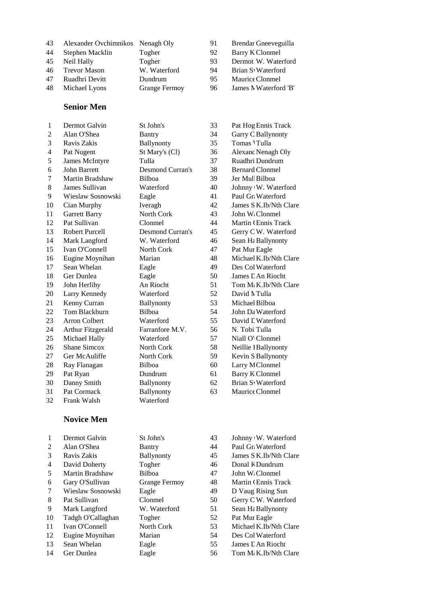| 43 | Alexander Ovchimnikos Nenagh Oly |                      | 91 | Brendar Gneeveguilla  |
|----|----------------------------------|----------------------|----|-----------------------|
| 44 | Stephen Macklin                  | Togher               | 92 | Barry K Clonmel       |
| 45 | Neil Hally                       | Togher               | 93 | Dermot W. Waterford   |
| 46 | <b>Trevor Mason</b>              | W. Waterford         | 94 | Brian S Waterford     |
| 47 | Ruadhri Devitt                   | Dundrum              | 95 | Maurice Clonmel       |
| 48 | Michael Lyons                    | <b>Grange Fermoy</b> | 96 | James N Waterford 'B' |
|    |                                  |                      |    |                       |

#### **Senior Men**

| $\mathbf{1}$   | Dermot Galvin            | St John's               | 33 | Pat Hog Ennis Track    |
|----------------|--------------------------|-------------------------|----|------------------------|
| $\overline{2}$ | Alan O'Shea              | Bantry                  | 34 | Garry C Ballynonty     |
| 3              | Ravis Zakis              | Ballynonty              | 35 | Tomas 'Tulla           |
| 4              | Pat Nugent               | St Mary's (Cl)          | 36 | Alexanc Nenagh Oly     |
| 5              | James McIntyre           | Tulla                   | 37 | Ruadhri Dundrum        |
| 6              | <b>John Barrett</b>      | <b>Desmond Curran's</b> | 38 | <b>Bernard Clonmel</b> |
| 7              | Martin Bradshaw          | <b>Bilboa</b>           | 39 | Jer Mul Bilboa         |
| 8              | James Sullivan           | Waterford               | 40 | Johnny W. Waterford    |
| 9              | Wieslaw Sosnowski        | Eagle                   | 41 | Paul Gr. Waterford     |
| 10             | Cian Murphy              | Iveragh                 | 42 | James S K.Ib/Nth Clare |
| 11             | Garrett Barry            | North Cork              | 43 | John W. Clonmel        |
| 12             | Pat Sullivan             | Clonmel                 | 44 | Martin CEnnis Track    |
| 13             | Robert Purcell           | <b>Desmond Curran's</b> | 45 | Gerry CW. Waterford    |
| 14             | Mark Langford            | W. Waterford            | 46 | Sean Ha Ballynonty     |
| 15             | Ivan O'Connell           | North Cork              | 47 | Pat Mur Eagle          |
| 16             | Eugine Moynihan          | Marian                  | 48 | Michael K.Ib/Nth Clare |
| 17             | Sean Whelan              | Eagle                   | 49 | Des Col Waterford      |
| 18             | Ger Dunlea               | Eagle                   | 50 | James E An Riocht      |
| 19             | John Herlihy             | An Riocht               | 51 | Tom M: K.Ib/Nth Clare  |
| 20             | Larry Kennedy            | Waterford               | 52 | David N Tulla          |
| 21             | Kenny Curran             | Ballynonty              | 53 | Michael Bilboa         |
| 22             | Tom Blackburn            | <b>Bilboa</b>           | 54 | John Da Waterford      |
| 23             | <b>Arron Colbert</b>     | Waterford               | 55 | David L Waterford      |
| 24             | <b>Arthur Fitzgerald</b> | Farranfore M.V.         | 56 | N. Tobi Tulla          |
| 25             | Michael Hally            | Waterford               | 57 | Niall O' Clonmel       |
| 26             | Shane Simcox             | North Cork              | 58 | Neillie I Ballynonty   |
| 27             | Ger McAuliffe            | North Cork              | 59 | Kevin S Ballynonty     |
| 28             | Ray Flanagan             | Bilboa                  | 60 | Larry M Clonmel        |
| 29             | Pat Ryan                 | Dundrum                 | 61 | <b>Barry K Clonmel</b> |
| 30             | Danny Smith              | Ballynonty              | 62 | Brian S Waterford      |
| 31             | Pat Cormack              | Ballynonty              | 63 | Maurice Clonmel        |
| 32             | Frank Walsh              | Waterford               |    |                        |

#### **Novice Men**

|                | Dermot Galvin     | St John's            | 43 | Johnny W. Waterford               |
|----------------|-------------------|----------------------|----|-----------------------------------|
| 2              | Alan O'Shea       | Bantry               | 44 | Paul Gr. Waterford                |
| 3              | Ravis Zakis       | <b>Ballynonty</b>    | 45 | James S K.Ib/Nth Clare            |
| $\overline{4}$ | David Doherty     | Togher               | 46 | Donal K Dundrum                   |
| 5              | Martin Bradshaw   | Bilboa               | 47 | John W. Clonmel                   |
| 6              | Gary O'Sullivan   | <b>Grange Fermoy</b> | 48 | Martin CEnnis Track               |
| 7              | Wieslaw Sosnowski | Eagle                | 49 | D Vaug Rising Sun                 |
| 8              | Pat Sullivan      | Clonmel              | 50 | Gerry C W. Waterford              |
| 9              | Mark Langford     | W. Waterford         | 51 | Sean Hε Ballynonty                |
| 10             | Tadgh O'Callaghan | Togher               | 52 | Pat Mur Eagle                     |
| 11             | Ivan O'Connell    | North Cork           | 53 | Michael K.Ib/Nth Clare            |
| 12             | Eugine Moynihan   | Marian               | 54 | Des Col Waterford                 |
| 13             | Sean Whelan       | Eagle                | 55 | James L An Riocht                 |
| 14             | Ger Dunlea        | Eagle                | 56 | Tom M <sub>i</sub> K.Ib/Nth Clare |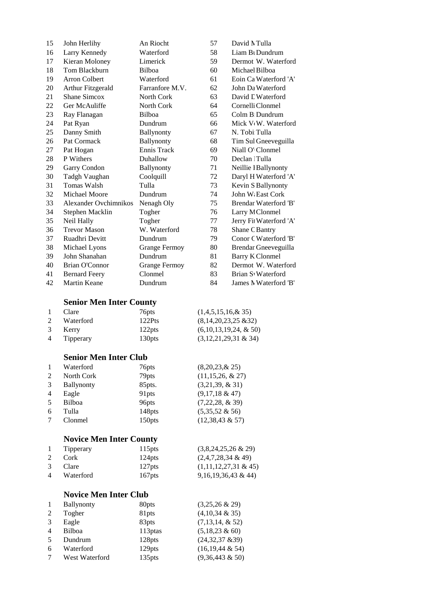| 15 | John Herlihy          | An Riocht            | 57 | David N Tulla                    |
|----|-----------------------|----------------------|----|----------------------------------|
| 16 | Larry Kennedy         | Waterford            | 58 | Liam B <sub>1</sub> Dundrum      |
| 17 | Kieran Moloney        | Limerick             | 59 | Dermot W. Waterford              |
| 18 | Tom Blackburn         | <b>Bilboa</b>        | 60 | Michael Bilboa                   |
| 19 | <b>Arron Colbert</b>  | Waterford            | 61 | Eoin Ca Waterford 'A'            |
| 20 | Arthur Fitzgerald     | Farranfore M.V.      | 62 | John Da Waterford                |
| 21 | Shane Simcox          | North Cork           | 63 | David L Waterford                |
| 22 | Ger McAuliffe         | North Cork           | 64 | Cornelli Clonmel                 |
| 23 | Ray Flanagan          | Bilboa               | 65 | Colm B Dundrum                   |
| 24 | Pat Ryan              | Dundrum              | 66 | Mick V <sub>v</sub> W. Waterford |
| 25 | Danny Smith           | Ballynonty           | 67 | N. Tobi Tulla                    |
| 26 | Pat Cormack           | Ballynonty           | 68 | Tim Sul Gneeveguilla             |
| 27 | Pat Hogan             | Ennis Track          | 69 | Niall O' Clonmel                 |
| 28 | P Withers             | Duhallow             | 70 | Declan Tulla                     |
| 29 | Garry Condon          | Ballynonty           | 71 | Neillie I Ballynonty             |
| 30 | Tadgh Vaughan         | Coolquill            | 72 | Daryl H Waterford 'A'            |
| 31 | <b>Tomas Walsh</b>    | Tulla                | 73 | Kevin S Ballynonty               |
| 32 | Michael Moore         | Dundrum              | 74 | John W. East Cork                |
| 33 | Alexander Ovchimnikos | Nenagh Oly           | 75 | Brendar Waterford 'B'            |
| 34 | Stephen Macklin       | Togher               | 76 | Larry M Clonmel                  |
| 35 | Neil Hally            | Togher               | 77 | Jerry Fit Waterford 'A'          |
| 36 | <b>Trevor Mason</b>   | W. Waterford         | 78 | Shane C Bantry                   |
| 37 | Ruadhri Devitt        | Dundrum              | 79 | Conor C Waterford 'B'            |
| 38 | Michael Lyons         | <b>Grange Fermoy</b> | 80 | Brendar Gneeveguilla             |
| 39 | John Shanahan         | Dundrum              | 81 | <b>Barry K Clonmel</b>           |
| 40 | <b>Brian O'Connor</b> | <b>Grange Fermoy</b> | 82 | Dermot W. Waterford              |
| 41 | <b>Bernard Feery</b>  | Clonmel              | 83 | Brian S. Waterford               |
| 42 | <b>Martin Keane</b>   | Dundrum              | 84 | James N Waterford 'B'            |

## **Senior Men Inter County**

| $\mathbf{1}$ | Clare       | 76 <sub>pts</sub>  | $(1,4,5,15,16,\& 35)$    |
|--------------|-------------|--------------------|--------------------------|
| 2            | Waterford   | 122Pts             | $(8,14,20,23,25 \& 32)$  |
|              | 3 Kerry     | 122 <sub>pts</sub> | $(6,10,13,19,24, \& 50)$ |
|              | 4 Tipperary | 130 <sub>pts</sub> | $(3,12,21,29,31 \& 34)$  |

#### **Senior Men Inter Club**

|    | Waterford         | 76pts             | $(8,20,23, \& 25)$    |
|----|-------------------|-------------------|-----------------------|
| 2  | North Cork        | 79pts             | $(11, 15, 26, \& 27)$ |
| 3  | <b>Ballynonty</b> | 85pts.            | $(3,21,39, \& 31)$    |
| 4  | Eagle             | 91pts             | $(9,17,18 \& 47)$     |
| 5. | Bilboa            | 96 <sub>pts</sub> | $(7,22,28, \& 39)$    |
| 6  | Tulla             | 148pts            | $(5,35,52 \& 56)$     |
| 7  | Clonmel           | 150pts            | $(12,38,43 \& 57)$    |

# **Novice Men Inter County**

| $\mathbf{1}$ | Tipperary   | 115 <sub>pts</sub> | $(3,8,24,25,26 \& 29)$  |
|--------------|-------------|--------------------|-------------------------|
| 2            | – Cork      | 124 <sub>pts</sub> | $(2,4,7,28,34 \& 49)$   |
| 3            | Clare       | 127 <sub>pts</sub> | $(1,11,12,27,31 \& 45)$ |
|              | 4 Waterford | 167 <sub>pts</sub> | $9,16,19,36,43 \& 44$   |

# **Novice Men Inter Club**

|                | <b>Ballynonty</b> | 80 <sub>pts</sub>   | $(3,25,26 \& 29)$    |
|----------------|-------------------|---------------------|----------------------|
| 2              | Togher            | 81pts               | $(4,10,34 \& 35)$    |
| $\mathcal{R}$  | Eagle             | 83pts               | $(7,13,14, \& 52)$   |
| $\overline{4}$ | Bilboa            | 113 <sub>ptas</sub> | $(5,18,23 \& 60)$    |
| 5              | Dundrum           | 128pts              | (24, 32, 37, 839)    |
| 6              | Waterford         | 129pts              | $(16, 19, 44 \& 54)$ |
| 7              | West Waterford    | 135pts              | $(9,36,443 \& 50)$   |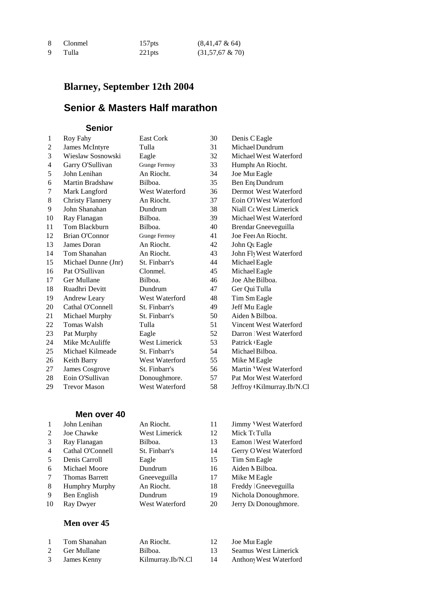| 8 | <b>Clonmel</b> | 157 <sub>pts</sub> | $(8,41,47 \& 64)$  |
|---|----------------|--------------------|--------------------|
| 9 | Tulla          | $221$ pts          | $(31,57,67 \& 70)$ |

# **Blarney, September 12th 2004**

# **Senior & Masters Half marathon**

#### **Senior**

| $\mathbf{1}$ | Roy Fahy                | <b>East Cork</b>     | 30 | Denis C Eagle             |
|--------------|-------------------------|----------------------|----|---------------------------|
| 2            | James McIntyre          | Tulla                | 31 | Michael Dundrum           |
| 3            | Wieslaw Sosnowski       | Eagle                | 32 | Michael West Waterford    |
| 4            | Garry O'Sullivan        | <b>Grange Fermoy</b> | 33 | Humphi An Riocht.         |
| 5            | John Lenihan            | An Riocht.           | 34 | Joe Mui Eagle             |
| 6            | Martin Bradshaw         | Bilboa.              | 35 | Ben En Dundrum            |
| 7            | Mark Langford           | West Waterford       | 36 | Dermot West Waterford     |
| 8            | <b>Christy Flannery</b> | An Riocht.           | 37 | Eoin O'l West Waterford   |
| 9            | John Shanahan           | Dundrum              | 38 | Niall Co West Limerick    |
| 10           | Ray Flanagan            | Bilboa.              | 39 | Michael West Waterford    |
| 11           | Tom Blackburn           | Bilboa.              | 40 | Brendar Gneeveguilla      |
| 12           | Brian O'Connor          | <b>Grange Fermoy</b> | 41 | Joe Feel An Riocht.       |
| 13           | James Doran             | An Riocht.           | 42 | John Qu Eagle             |
| 14           | Tom Shanahan            | An Riocht.           | 43 | John Fly West Waterford   |
| 15           | Michael Dunne (Jnr)     | St. Finbarr's        | 44 | Michael Eagle             |
| 16           | Pat O'Sullivan          | Clonmel.             | 45 | Michael Eagle             |
| 17           | Ger Mullane             | Bilboa.              | 46 | Joe Ahe Bilboa.           |
| 18           | Ruadhri Devitt          | Dundrum              | 47 | Ger Qui Tulla             |
| 19           | Andrew Leary            | West Waterford       | 48 | Tim Sm Eagle              |
| 20           | Cathal O'Connell        | St. Finbarr's        | 49 | Jeff Mu Eagle             |
| 21           | Michael Murphy          | St. Finbarr's        | 50 | Aiden MBilboa.            |
| 22           | <b>Tomas Walsh</b>      | Tulla                | 51 | Vincent West Waterford    |
| 23           | Pat Murphy              | Eagle                | 52 | Darron   West Waterford   |
| 24           | Mike McAuliffe          | West Limerick        | 53 | Patrick <sub>'Eagle</sub> |
| 25           | Michael Kilmeade        | St. Finbarr's        | 54 | Michael Bilboa.           |
| 26           | Keith Barry             | West Waterford       | 55 | Mike M Eagle              |
| 27           | James Cosgrove          | St. Finbarr's        | 56 | Martin 'West Waterford    |
| 28           | Eoin O'Sullivan         | Donoughmore.         | 57 | Pat Mor West Waterford    |
| 29           | <b>Trevor Mason</b>     | West Waterford       | 58 | Jeffroy Kilmurray.Ib/N.Cl |
|              |                         |                      |    |                           |

### **Men over 40**

|    | John Lenihan          | An Riocht.           | 11 | Jimmy Vest Waterford              |
|----|-----------------------|----------------------|----|-----------------------------------|
| 2  | Joe Chawke            | <b>West Limerick</b> | 12 | Mick To Tulla                     |
| 3  | Ray Flanagan          | Bilboa.              | 13 | Eamon   West Waterford            |
| 4  | Cathal O'Connell      | St. Finbarr's        | 14 | Gerry O West Waterford            |
| 5  | Denis Carroll         | Eagle                | 15 | Tim Sm Eagle                      |
| 6  | Michael Moore         | Dundrum              | 16 | Aiden N Bilboa.                   |
| 7  | <b>Thomas Barrett</b> | Gneeveguilla         | 17 | Mike M Eagle                      |
| 8  | <b>Humphry Murphy</b> | An Riocht.           | 18 | Freddy   Gneeveguilla             |
| 9  | Ben English           | Dundrum              | 19 | Nichola Donoughmore.              |
| 10 | Ray Dwyer             | West Waterford       | 20 | Jerry D <sub>i</sub> Donoughmore. |
|    |                       |                      |    |                                   |

### **Men over 45**

| Tom Shanahan  | An Riocht.        |    | Joe Mui Eagle          |
|---------------|-------------------|----|------------------------|
| 2 Ger Mullane | Bilboa.           |    | Seamus West Limerick   |
| 3 James Kenny | Kilmurray.Ib/N.Cl | 14 | Anthony West Waterford |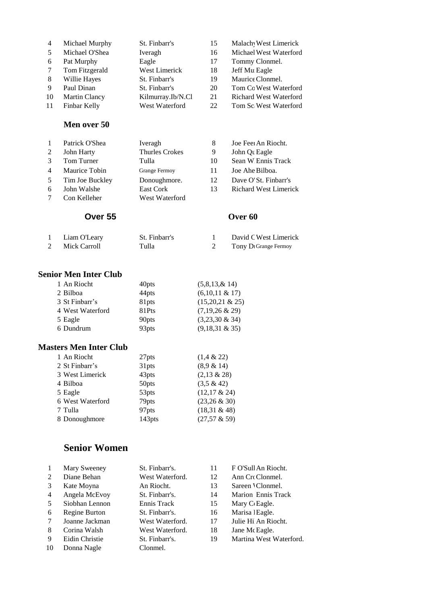| $\overline{4}$ | Michael Murphy | St. Finbarr's     | 15 | Malach West Limerick          |
|----------------|----------------|-------------------|----|-------------------------------|
| 5              | Michael O'Shea | Iveragh           | 16 | Michael West Waterford        |
| 6              | Pat Murphy     | Eagle             | 17 | Tommy Clonmel.                |
|                | Tom Fitzgerald | West Limerick     | 18 | Jeff Mu Eagle                 |
| 8              | Willie Hayes   | St. Finbarr's     | 19 | Maurice Clonmel.              |
| 9              | Paul Dinan     | St. Finbarr's     | 20 | Tom Co West Waterford         |
| 10             | Martin Clancy  | Kilmurray.Ib/N.Cl | 21 | <b>Richard West Waterford</b> |
| 11             | Finbar Kelly   | West Waterford    | 22 | Tom Sc West Waterford         |
|                |                |                   |    |                               |

#### **Men over 50**

|               | Patrick O'Shea  | Iveragh               | 8  | Joe Feel An Riocht.          |
|---------------|-----------------|-----------------------|----|------------------------------|
| 2             | John Harty      | <b>Thurles Crokes</b> | 9  | John Que Eagle               |
| $\mathcal{R}$ | Tom Turner      | Tulla                 | 10 | Sean W Ennis Track           |
| 4             | Maurice Tobin   | <b>Grange Fermoy</b>  | 11 | Joe Ahe Bilboa.              |
| 5             | Tim Joe Buckley | Donoughmore.          | 12 | Dave O'St. Finbarr's         |
| 6             | John Walshe     | East Cork             | 13 | <b>Richard West Limerick</b> |
|               | Con Kelleher    | West Waterford        |    |                              |

#### **Over 55 Over 60**

| Liam O'Leary | St. Finbarr's | David C West Limerick             |
|--------------|---------------|-----------------------------------|
| Mick Carroll | Tulla         | Tony D <sub>1</sub> Grange Fermoy |

## **Senior Men Inter Club**

| 40 <sub>pts</sub> | (5,8,13, & 14)     |
|-------------------|--------------------|
| 44pts             | $(6,10,11 \& 17)$  |
| 81pts             | $(15,20,21 \& 25)$ |
| 81Pts             | $(7,19,26 \& 29)$  |
| 90 <sub>pts</sub> | $(3,23,30 \& 34)$  |
| 93pts             | $(9,18,31 \& 35)$  |
|                   |                    |

#### **Masters Men Inter Club**

| 1 An Riocht      | 27pts             | $(1,4 \& 22)$   |
|------------------|-------------------|-----------------|
| 2 St Finbarr's   | 31pts             | (8.9 & 14)      |
| 3 West Limerick  | 43pts             | $(2,13 \& 28)$  |
| 4 Bilboa         | 50pts             | $(3.5 \& 42)$   |
| 5 Eagle          | 53pts             | $(12,17 \& 24)$ |
| 6 West Waterford | 79 <sub>pts</sub> | $(23,26 \& 30)$ |
| 7 Tulla          | 97pts             | $(18,31 \& 48)$ |
| 8 Donoughmore    | 143pts            | $(27,57 \& 59)$ |

# **Senior Women**

|    | Mary Sweeney   | St. Finbarr's.  | 11 | F O'Sull An Riocht.     |
|----|----------------|-----------------|----|-------------------------|
|    |                |                 |    |                         |
| 2  | Diane Behan    | West Waterford. | 12 | Ann Cro Clonmel.        |
| 3  | Kate Moyna     | An Riocht.      | 13 | Sareen 'Clonmel.        |
| 4  | Angela McEvoy  | St. Finbarr's.  | 14 | Marion Ennis Track      |
| 5  | Siobhan Lennon | Ennis Track     | 15 | Mary C Eagle.           |
| 6  | Regine Burton  | St. Finbarr's.  | 16 | Marisa l Eagle.         |
| 7  | Joanne Jackman | West Waterford. | 17 | Julie Hi An Riocht.     |
| 8  | Corina Walsh   | West Waterford. | 18 | Jane Mc Eagle.          |
| 9  | Eidin Christie | St. Finbarr's.  | 19 | Martina West Waterford. |
| 10 | Donna Nagle    | Clonmel.        |    |                         |
|    |                |                 |    |                         |